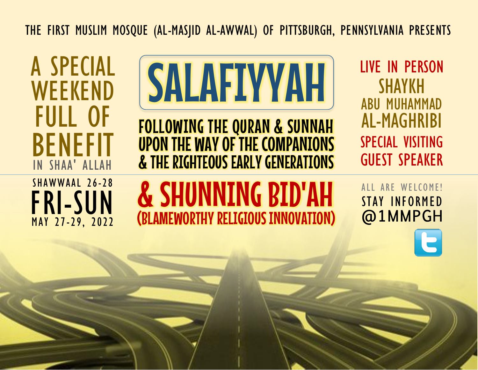THE FIRST MUSLIM MOSQUE (AL-MASJID AL-AWWAL) OF PITTSBURGH, PENNSYLVANIA PRESENTS

A SPECIAL WEEKEND FULL OF BENEFIT IN SHAA' ALLAH



FOLLOWING THE QURAN & SUNNAH UPON THE WAY OF THE COMPANIONS & THE RIGHTEOUS EARLY GENERATIONS

LIVE IN PERSON SHAYKH ABU MUHAMMAD AL-MAGHRIBI SPECIAL VISITING GUEST SPEAKER

FRI-SUN SHAWWAAL 26-28 MAY 27-29, 2022

# & SHUNNING BID'AH (BLAMEWORTHY RELIGIOUS INNOVATION)

STAY INFORMED @1MMPGH ALL ARE WELCOME!